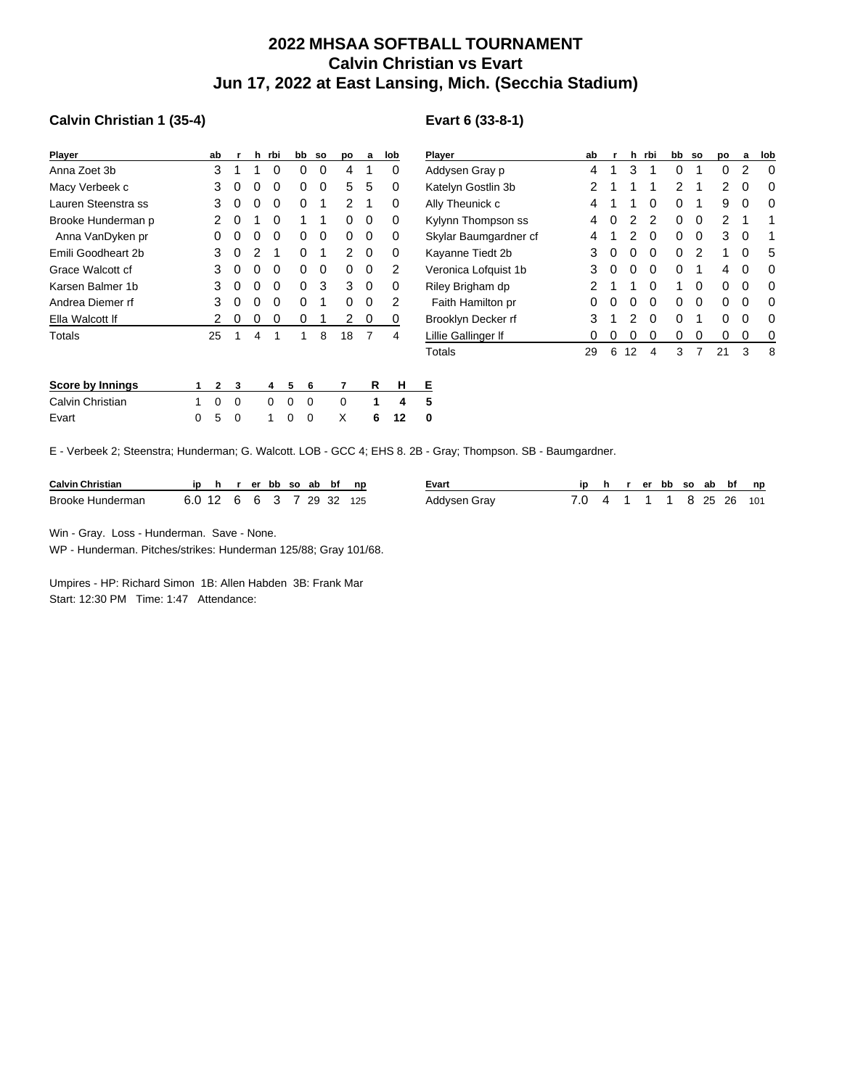## **2022 MHSAA SOFTBALL TOURNAMENT Calvin Christian vs Evart Jun 17, 2022 at East Lansing, Mich. (Secchia Stadium)**

## **Calvin Christian 1 (35-4)**

| Player              | ab | r | h            | rbi | bb | <b>SO</b> | po | a | lob |
|---------------------|----|---|--------------|-----|----|-----------|----|---|-----|
| Anna Zoet 3b        | 3  | 1 | 1            | 0   | 0  | 0         | 4  | 1 | 0   |
| Macy Verbeek c      | 3  | Ω | 0            | 0   | 0  | 0         | 5  | 5 | 0   |
| Lauren Steenstra ss | 3  | 0 | 0            | 0   | 0  | 1         | 2  | 1 | 0   |
| Brooke Hunderman p  | 2  | 0 | 1            | 0   | 1  | 1         | 0  | 0 | 0   |
| Anna VanDyken pr    | 0  | Ω | $\mathbf{0}$ | 0   | 0  | 0         | 0  | 0 | 0   |
| Emili Goodheart 2b  | 3  | 0 | 2            | 1   | 0  | 1         | 2  | 0 | 0   |
| Grace Walcott cf    | 3  | 0 | 0            | 0   | 0  | O         | 0  | 0 | 2   |
| Karsen Balmer 1b    | 3  | 0 | 0            | 0   | 0  | 3         | 3  | 0 | 0   |
| Andrea Diemer rf    | 3  | 0 | 0            | 0   | 0  | 1         | 0  | 0 | 2   |
| Ella Walcott If     | 2  | Ω | 0            | 0   | 0  | 1         | 2  | 0 | 0   |
| Totals              | 25 | 1 | 4            | 1   | 1  | 8         | 18 | 7 | 4   |
|                     |    |   |              |     |    |           |    |   |     |
|                     |    |   |              |     |    |           |    |   |     |

| Score by Innings |  |  |  | 1 2 3 4 5 6 7 R H E  |  |  |
|------------------|--|--|--|----------------------|--|--|
| Calvin Christian |  |  |  | 1 0 0 0 0 0 0 1 4 5  |  |  |
| Evart            |  |  |  | 0 5 0 1 0 0 X 6 12 0 |  |  |

## **Evart 6 (33-8-1)**

| <b>Player</b>         | ab | r | h  | rbi | bb | <b>SO</b> | po | a | lob |
|-----------------------|----|---|----|-----|----|-----------|----|---|-----|
| Addysen Gray p        | 4  | 1 | 3  | 1   | 0  | 1         | 0  | 2 | 0   |
| Katelyn Gostlin 3b    | 2  | 1 | 1  | 1   | 2  | 1         | 2  | 0 | 0   |
| Ally Theunick c       | 4  | 1 | 1  | 0   | 0  | 1         | 9  | 0 | 0   |
| Kylynn Thompson ss    | 4  | 0 | 2  | 2   | 0  | 0         | 2  | 1 | 1   |
| Skylar Baumgardner cf | 4  | 1 | 2  | 0   | 0  | 0         | 3  | 0 | 1   |
| Kayanne Tiedt 2b      | 3  | 0 | 0  | 0   | 0  | 2         | 1  | 0 | 5   |
| Veronica Lofquist 1b  | 3  | O | 0  | 0   | 0  | 1         | 4  | 0 | O   |
| Riley Brigham dp      | 2  | 1 | 1  | 0   | 1  | 0         | 0  | 0 | O   |
| Faith Hamilton pr     | 0  | 0 | 0  | 0   | 0  | 0         | 0  | 0 | O   |
| Brooklyn Decker rf    | 3  | 1 | 2  | 0   | 0  | 1         | 0  | 0 | O   |
| Lillie Gallinger If   | 0  | 0 | 0  | 0   | 0  | 0         | 0  | 0 | 0   |
| Totals                | 29 | 6 | 12 | 4   | 3  | 7         | 21 | 3 | 8   |

E - Verbeek 2; Steenstra; Hunderman; G. Walcott. LOB - GCC 4; EHS 8. 2B - Gray; Thompson. SB - Baumgardner.

| <b>Calvin Christian</b> | ID       |  |  |  |               | hrerbbsoabbfnp | Evart        |  | er | bb |   | so ab س | bf   | np  |
|-------------------------|----------|--|--|--|---------------|----------------|--------------|--|----|----|---|---------|------|-----|
| Brooke Hunderman        | 6.0 12 ບ |  |  |  | 6 6 3 7 29 32 | 125            | Addysen Gray |  |    |    | . | 25.     | - 26 | 101 |

Win - Gray. Loss - Hunderman. Save - None.

WP - Hunderman. Pitches/strikes: Hunderman 125/88; Gray 101/68.

Umpires - HP: Richard Simon 1B: Allen Habden 3B: Frank Mar Start: 12:30 PM Time: 1:47 Attendance: